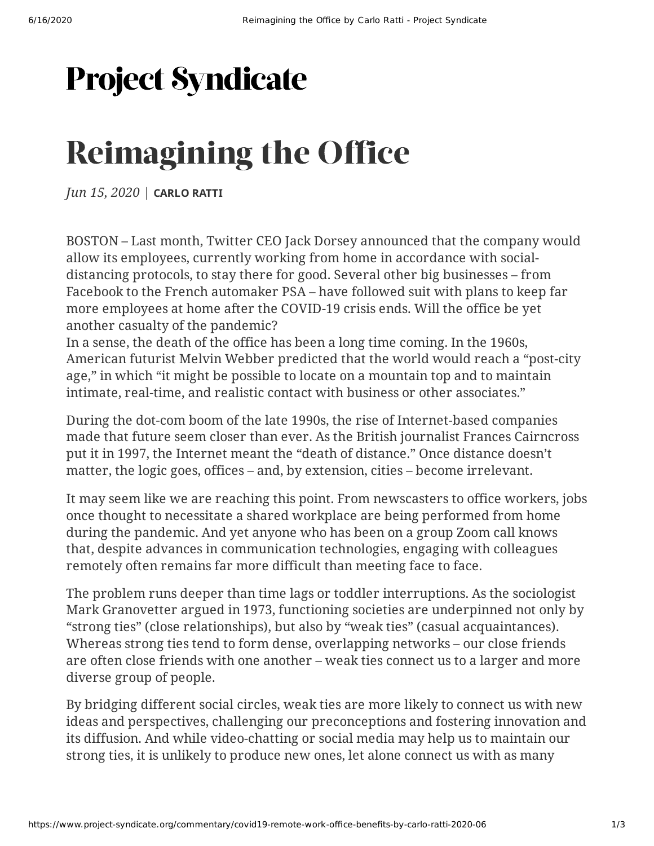## **Project Syndicate**

# Reimagining the Office

*Jun 15, 2020* | **[CARLO](https://www.project-syndicate.org/columnist/carlo-ratti) RATTI**

BOSTON – Last month, Twitter CEO Jack Dorsey [announced](https://www.theguardian.com/technology/2020/may/12/twitter-coronavirus-covid19-work-from-home) that the company would allow its employees, currently working from home in accordance with socialdistancing protocols, to stay there for good. Several other big businesses – from [Facebook](https://edition.cnn.com/2020/05/22/tech/work-from-home-companies/index.html) to the French automaker PSA – have followed suit with plans to keep far more employees at home after the COVID-19 crisis ends. Will the office be yet another casualty of the pandemic?

In a sense, the death of the office has been a long time coming. In the 1960s, American futurist Melvin Webber [predicted](https://www.jstor.org/stable/20013413) that the world would reach a "post-city age," in which "it might be possible to locate on a mountain top and to maintain intimate, real-time, and realistic contact with business or other associates."

During the dot-com boom of the late 1990s, the rise of Internet-based companies made that future seem closer than ever. As the British journalist Frances Cairncross [put](https://store.hbr.org/product/the-death-of-distance-how-the-communications-revolution-is-changing-our-lives/8060) it in 1997, the Internet meant the "death of distance." Once distance doesn't matter, the logic goes, offices – and, by extension, cities – become irrelevant.

It may seem like we are reaching this point. From newscasters to office workers, jobs once thought to necessitate a shared workplace are being performed from home during the pandemic. And yet anyone who has been on a group Zoom call knows that, despite advances in communication technologies, engaging with colleagues remotely often remains far more difficult than meeting face to face.

The problem runs deeper than time lags or toddler interruptions. As the sociologist Mark Granovetter [argued](https://www.jstor.org/stable/2776392) in 1973, functioning societies are underpinned not only by "strong ties" (close relationships), but also by "weak ties" (casual acquaintances). Whereas strong ties tend to form dense, overlapping networks – our close friends are often close friends with one another – weak ties connect us to a larger and more diverse group of people.

By bridging different social circles, weak ties are more likely to connect us with new ideas and perspectives, challenging our preconceptions and fostering innovation and its diffusion. And while video-chatting or social media may help us to maintain our strong ties, it is unlikely to produce new ones, let alone connect us with as many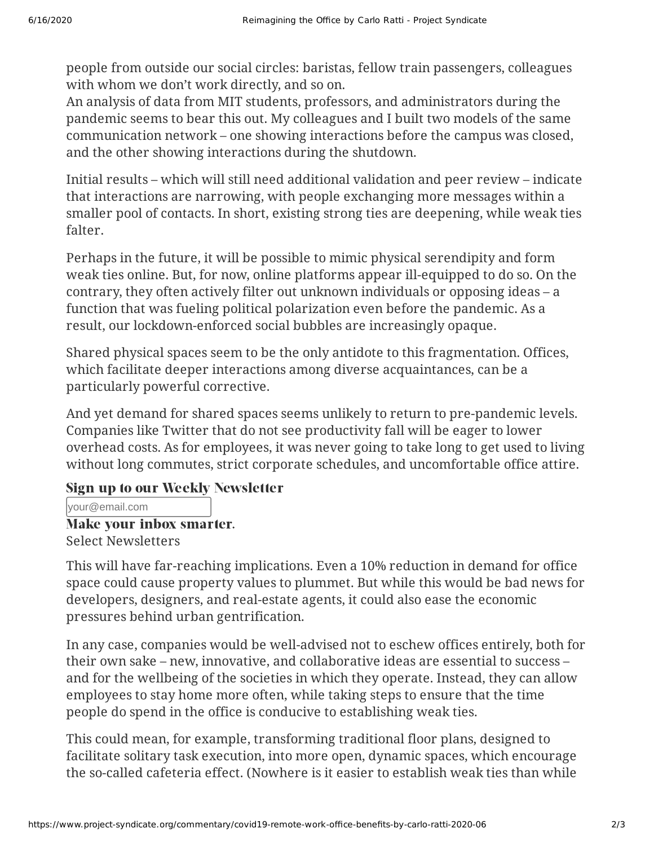people from outside our social circles: baristas, fellow train passengers, colleagues with whom we don't work directly, and so on.

An analysis of data from MIT students, professors, and administrators during the pandemic seems to bear this out. My colleagues and I built two models of the same communication network – one showing interactions before the campus was closed, and the other showing interactions during the shutdown.

Initial [results](https://www.youtube.com/watch?v=imQzQI96N-s&t=10s) – which will still need additional validation and peer review – indicate that interactions are narrowing, with people exchanging more messages within a smaller pool of contacts. In short, existing strong ties are deepening, while weak ties falter.

Perhaps in the future, it will be possible to mimic physical serendipity and form weak ties online. But, for now, online platforms appear ill-equipped to do so. On the contrary, they often actively filter out unknown individuals or opposing ideas – a function that was fueling political polarization even before the pandemic. As a result, our lockdown-enforced social bubbles are increasingly opaque.

Shared physical spaces seem to be the only antidote to this fragmentation. Offices, which facilitate deeper interactions among diverse acquaintances, can be a particularly powerful corrective.

And yet demand for shared spaces seems unlikely to return to pre-pandemic levels. Companies like Twitter that do not see productivity fall will be eager to lower overhead costs. As for employees, it was never going to take long to get used to living without long commutes, strict corporate schedules, and uncomfortable office attire.

#### Sign up to our Weekly Newsletter

your@email.com

#### Make your inbox smarter. Select [Newsletters](https://www.project-syndicate.org/member/editnewsletterpreferences?hash=)

This will have far-reaching implications. Even a 10% reduction in demand for office space could cause property values to plummet. But while this would be bad news for developers, designers, and real-estate agents, it could also ease the economic pressures behind urban gentrification.

In any case, companies would be well-advised not to eschew offices entirely, both for their own sake – new, innovative, and collaborative ideas are essential to success – and for the wellbeing of the societies in which they operate. Instead, they can allow employees to stay home more often, while taking steps to ensure that the time people do spend in the office is conducive to establishing weak ties.

This could mean, for example, transforming traditional floor plans, designed to facilitate solitary task execution, into more open, dynamic spaces, which encourage the so-called cafeteria effect. (Nowhere is it easier to establish weak ties than while